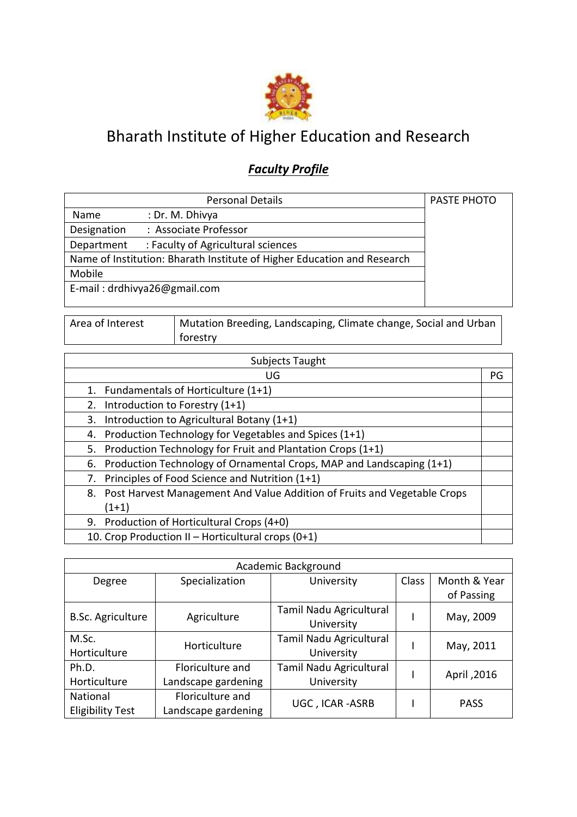

## Bharath Institute of Higher Education and Research

## *Faculty Profile*

|             | <b>Personal Details</b>                                                 | PASTE PHOTO |
|-------------|-------------------------------------------------------------------------|-------------|
| Name        | : Dr. M. Dhivya                                                         |             |
| Designation | : Associate Professor                                                   |             |
| Department  | : Faculty of Agricultural sciences                                      |             |
|             | Name of Institution: Bharath Institute of Higher Education and Research |             |
| Mobile      |                                                                         |             |
|             | E-mail: drdhivya26@gmail.com                                            |             |
|             |                                                                         |             |

| Area of Interest |  |
|------------------|--|
|------------------|--|

Mutation Breeding, Landscaping, Climate change, Social and Urban forestry

| Subjects Taught                                                             |    |
|-----------------------------------------------------------------------------|----|
| UG                                                                          | PG |
| 1. Fundamentals of Horticulture (1+1)                                       |    |
| Introduction to Forestry (1+1)<br>2.                                        |    |
| Introduction to Agricultural Botany (1+1)<br>3.                             |    |
| Production Technology for Vegetables and Spices (1+1)<br>4.                 |    |
| 5. Production Technology for Fruit and Plantation Crops (1+1)               |    |
| 6. Production Technology of Ornamental Crops, MAP and Landscaping (1+1)     |    |
| Principles of Food Science and Nutrition (1+1)<br>7.                        |    |
| 8. Post Harvest Management And Value Addition of Fruits and Vegetable Crops |    |
| $(1+1)$                                                                     |    |
| 9. Production of Horticultural Crops (4+0)                                  |    |
| 10. Crop Production II - Horticultural crops (0+1)                          |    |

| Academic Background      |                     |                         |       |              |
|--------------------------|---------------------|-------------------------|-------|--------------|
| Degree                   | Specialization      | University              | Class | Month & Year |
|                          |                     |                         |       | of Passing   |
| <b>B.Sc. Agriculture</b> | Agriculture         | Tamil Nadu Agricultural |       | May, 2009    |
|                          |                     | University              |       |              |
| M.Sc.                    | Horticulture        | Tamil Nadu Agricultural |       | May, 2011    |
| Horticulture             |                     | University              |       |              |
| Ph.D.                    | Floriculture and    | Tamil Nadu Agricultural |       |              |
| Horticulture             | Landscape gardening | University              |       | April, 2016  |
| National                 | Floriculture and    |                         |       |              |
| <b>Eligibility Test</b>  | Landscape gardening | UGC, ICAR-ASRB          |       | <b>PASS</b>  |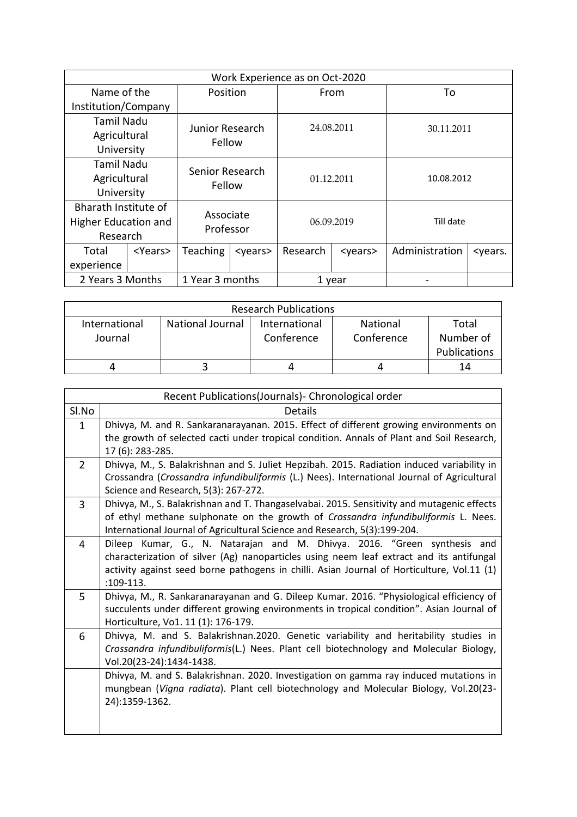| Work Experience as on Oct-2020 |                 |                        |                 |          |                 |                |                           |
|--------------------------------|-----------------|------------------------|-----------------|----------|-----------------|----------------|---------------------------|
| Name of the                    |                 | Position               |                 |          | From            | To             |                           |
| Institution/Company            |                 |                        |                 |          |                 |                |                           |
| Tamil Nadu                     |                 | <b>Junior Research</b> |                 |          | 24.08.2011      | 30.11.2011     |                           |
| Agricultural                   |                 | Fellow                 |                 |          |                 |                |                           |
| University                     |                 |                        |                 |          |                 |                |                           |
| <b>Tamil Nadu</b>              |                 | Senior Research        |                 |          |                 |                |                           |
| Agricultural                   |                 | Fellow                 |                 |          | 01.12.2011      | 10.08.2012     |                           |
| University                     |                 |                        |                 |          |                 |                |                           |
| Bharath Institute of           |                 | Associate              |                 |          |                 |                |                           |
| Higher Education and           |                 | Professor              |                 |          | 06.09.2019      | Till date      |                           |
| Research                       |                 |                        |                 |          |                 |                |                           |
| Total                          | <years></years> | Teaching               | <years></years> | Research | <years></years> | Administration | <years.< td=""></years.<> |
| experience                     |                 |                        |                 |          |                 |                |                           |
| 2 Years 3 Months               |                 | 1 Year 3 months        |                 |          | 1 year          |                |                           |

|                          |                  | <b>Research Publications</b> |                        |                                    |
|--------------------------|------------------|------------------------------|------------------------|------------------------------------|
| International<br>Journal | National Journal | International<br>Conference  | National<br>Conference | Total<br>Number of<br>Publications |
|                          |                  |                              |                        | 14                                 |

|                | Recent Publications(Journals) - Chronological order                                                                         |
|----------------|-----------------------------------------------------------------------------------------------------------------------------|
| Sl.No          | <b>Details</b>                                                                                                              |
| $\mathbf{1}$   | Dhivya, M. and R. Sankaranarayanan. 2015. Effect of different growing environments on                                       |
|                | the growth of selected cacti under tropical condition. Annals of Plant and Soil Research,<br>17 (6): 283-285.               |
| $\overline{2}$ | Dhivya, M., S. Balakrishnan and S. Juliet Hepzibah. 2015. Radiation induced variability in                                  |
|                | Crossandra (Crossandra infundibuliformis (L.) Nees). International Journal of Agricultural                                  |
|                | Science and Research, 5(3): 267-272.                                                                                        |
| $\overline{3}$ | Dhivya, M., S. Balakrishnan and T. Thangaselvabai. 2015. Sensitivity and mutagenic effects                                  |
|                | of ethyl methane sulphonate on the growth of Crossandra infundibuliformis L. Nees.                                          |
|                | International Journal of Agricultural Science and Research, 5(3):199-204.                                                   |
| 4              | Dileep Kumar, G., N. Natarajan and M. Dhivya. 2016. "Green synthesis and                                                    |
|                | characterization of silver (Ag) nanoparticles using neem leaf extract and its antifungal                                    |
|                | activity against seed borne pathogens in chilli. Asian Journal of Horticulture, Vol.11 (1)                                  |
|                | $:109-113.$                                                                                                                 |
| 5              | Dhivya, M., R. Sankaranarayanan and G. Dileep Kumar. 2016. "Physiological efficiency of                                     |
|                | succulents under different growing environments in tropical condition". Asian Journal of                                    |
|                | Horticulture, Vo1. 11 (1): 176-179.<br>Dhivya, M. and S. Balakrishnan.2020. Genetic variability and heritability studies in |
| 6              | Crossandra infundibuliformis(L.) Nees. Plant cell biotechnology and Molecular Biology,                                      |
|                | Vol.20(23-24):1434-1438.                                                                                                    |
|                | Dhivya, M. and S. Balakrishnan. 2020. Investigation on gamma ray induced mutations in                                       |
|                | mungbean (Vigna radiata). Plant cell biotechnology and Molecular Biology, Vol.20(23-                                        |
|                | 24):1359-1362.                                                                                                              |
|                |                                                                                                                             |
|                |                                                                                                                             |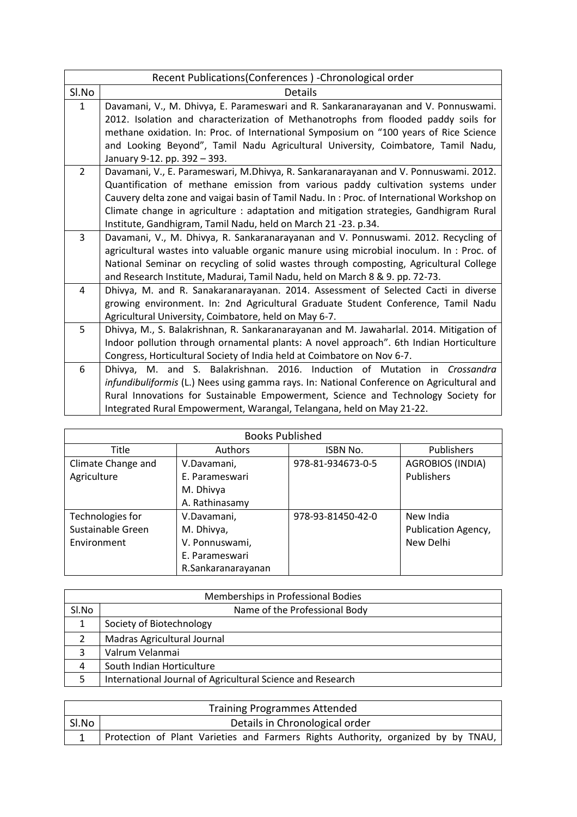| Recent Publications(Conferences) - Chronological order                                    |
|-------------------------------------------------------------------------------------------|
| <b>Details</b>                                                                            |
| Davamani, V., M. Dhivya, E. Parameswari and R. Sankaranarayanan and V. Ponnuswami.        |
| 2012. Isolation and characterization of Methanotrophs from flooded paddy soils for        |
| methane oxidation. In: Proc. of International Symposium on "100 years of Rice Science     |
| and Looking Beyond", Tamil Nadu Agricultural University, Coimbatore, Tamil Nadu,          |
| January 9-12. pp. 392 - 393.                                                              |
| Davamani, V., E. Parameswari, M.Dhivya, R. Sankaranarayanan and V. Ponnuswami. 2012.      |
| Quantification of methane emission from various paddy cultivation systems under           |
| Cauvery delta zone and vaigai basin of Tamil Nadu. In: Proc. of International Workshop on |
| Climate change in agriculture : adaptation and mitigation strategies, Gandhigram Rural    |
| Institute, Gandhigram, Tamil Nadu, held on March 21 -23. p.34.                            |
| Davamani, V., M. Dhivya, R. Sankaranarayanan and V. Ponnuswami. 2012. Recycling of        |
| agricultural wastes into valuable organic manure using microbial inoculum. In : Proc. of  |
| National Seminar on recycling of solid wastes through composting, Agricultural College    |
| and Research Institute, Madurai, Tamil Nadu, held on March 8 & 9. pp. 72-73.              |
| Dhivya, M. and R. Sanakaranarayanan. 2014. Assessment of Selected Cacti in diverse        |
| growing environment. In: 2nd Agricultural Graduate Student Conference, Tamil Nadu         |
| Agricultural University, Coimbatore, held on May 6-7.                                     |
| Dhivya, M., S. Balakrishnan, R. Sankaranarayanan and M. Jawaharlal. 2014. Mitigation of   |
| Indoor pollution through ornamental plants: A novel approach". 6th Indian Horticulture    |
| Congress, Horticultural Society of India held at Coimbatore on Nov 6-7.                   |
| Dhivya, M. and S. Balakrishnan. 2016. Induction of Mutation<br>in <i>Crossandra</i>       |
| infundibuliformis (L.) Nees using gamma rays. In: National Conference on Agricultural and |
| Rural Innovations for Sustainable Empowerment, Science and Technology Society for         |
| Integrated Rural Empowerment, Warangal, Telangana, held on May 21-22.                     |
|                                                                                           |

| <b>Books Published</b> |                    |                   |                         |  |
|------------------------|--------------------|-------------------|-------------------------|--|
| Title                  | <b>Authors</b>     | ISBN No.          | <b>Publishers</b>       |  |
| Climate Change and     | V.Davamani,        | 978-81-934673-0-5 | <b>AGROBIOS (INDIA)</b> |  |
| Agriculture            | E. Parameswari     |                   | Publishers              |  |
|                        | M. Dhivya          |                   |                         |  |
|                        | A. Rathinasamy     |                   |                         |  |
| Technologies for       | V.Davamani,        | 978-93-81450-42-0 | New India               |  |
| Sustainable Green      | M. Dhivya,         |                   | Publication Agency,     |  |
| Environment            | V. Ponnuswami,     |                   | New Delhi               |  |
|                        | E. Parameswari     |                   |                         |  |
|                        | R.Sankaranarayanan |                   |                         |  |

|               | Memberships in Professional Bodies                         |
|---------------|------------------------------------------------------------|
| Sl.No         | Name of the Professional Body                              |
| 1             | Society of Biotechnology                                   |
| $\mathcal{P}$ | Madras Agricultural Journal                                |
| 3             | Valrum Velanmai                                            |
| $\Lambda$     | South Indian Horticulture                                  |
|               | International Journal of Agricultural Science and Research |

|       | <b>Training Programmes Attended</b>                                               |
|-------|-----------------------------------------------------------------------------------|
| Sl.No | Details in Chronological order                                                    |
|       | Protection of Plant Varieties and Farmers Rights Authority, organized by by TNAU, |